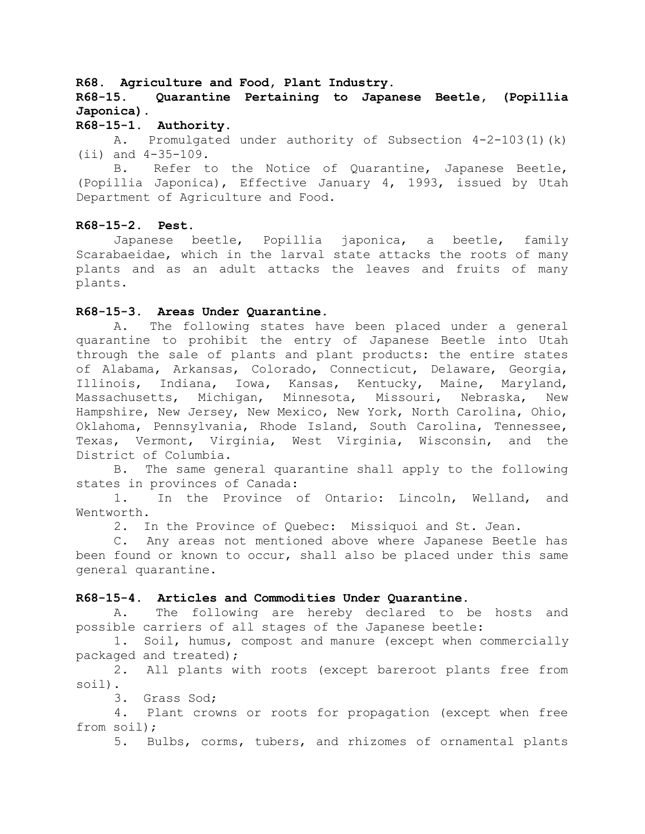## **R68. Agriculture and Food, Plant Industry.**

**R68-15. Quarantine Pertaining to Japanese Beetle, (Popillia Japonica).**

### **R68-15-1. Authority.**

A. Promulgated under authority of Subsection 4-2-103(1)(k) (ii) and 4-35-109.

B. Refer to the Notice of Quarantine, Japanese Beetle, (Popillia Japonica), Effective January 4, 1993, issued by Utah Department of Agriculture and Food.

## **R68-15-2. Pest.**

Japanese beetle, Popillia japonica, a beetle, family Scarabaeidae, which in the larval state attacks the roots of many plants and as an adult attacks the leaves and fruits of many plants.

## **R68-15-3. Areas Under Quarantine.**

A. The following states have been placed under a general quarantine to prohibit the entry of Japanese Beetle into Utah through the sale of plants and plant products: the entire states of Alabama, Arkansas, Colorado, Connecticut, Delaware, Georgia, Illinois, Indiana, Iowa, Kansas, Kentucky, Maine, Maryland, Massachusetts, Michigan, Minnesota, Missouri, Nebraska, New Hampshire, New Jersey, New Mexico, New York, North Carolina, Ohio, Oklahoma, Pennsylvania, Rhode Island, South Carolina, Tennessee, Texas, Vermont, Virginia, West Virginia, Wisconsin, and the District of Columbia.

B. The same general quarantine shall apply to the following states in provinces of Canada:

1. In the Province of Ontario: Lincoln, Welland, and Wentworth.

2. In the Province of Quebec: Missiquoi and St. Jean.

C. Any areas not mentioned above where Japanese Beetle has been found or known to occur, shall also be placed under this same general quarantine.

### **R68-15-4. Articles and Commodities Under Quarantine.**

A. The following are hereby declared to be hosts and possible carriers of all stages of the Japanese beetle:

1. Soil, humus, compost and manure (except when commercially packaged and treated);

2. All plants with roots (except bareroot plants free from soil).

3. Grass Sod;

4. Plant crowns or roots for propagation (except when free from soil);

5. Bulbs, corms, tubers, and rhizomes of ornamental plants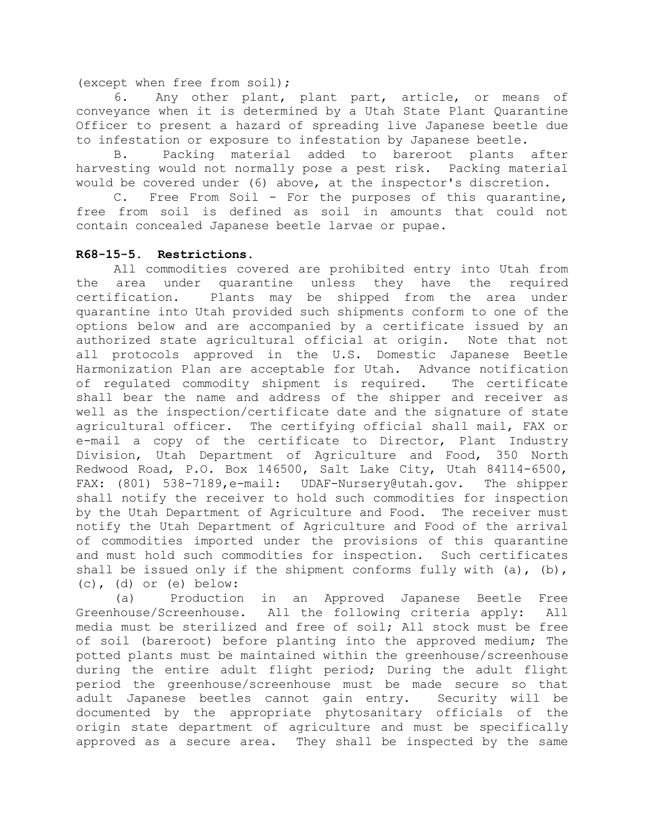(except when free from soil);

6. Any other plant, plant part, article, or means of conveyance when it is determined by a Utah State Plant Quarantine Officer to present a hazard of spreading live Japanese beetle due to infestation or exposure to infestation by Japanese beetle.

B. Packing material added to bareroot plants after harvesting would not normally pose a pest risk. Packing material would be covered under (6) above, at the inspector's discretion.

C. Free From Soil - For the purposes of this quarantine, free from soil is defined as soil in amounts that could not contain concealed Japanese beetle larvae or pupae.

# **R68-15-5. Restrictions.**

All commodities covered are prohibited entry into Utah from the area under quarantine unless they have the required certification. Plants may be shipped from the area under quarantine into Utah provided such shipments conform to one of the options below and are accompanied by a certificate issued by an authorized state agricultural official at origin. Note that not all protocols approved in the U.S. Domestic Japanese Beetle Harmonization Plan are acceptable for Utah. Advance notification of regulated commodity shipment is required. The certificate shall bear the name and address of the shipper and receiver as well as the inspection/certificate date and the signature of state agricultural officer. The certifying official shall mail, FAX or e-mail a copy of the certificate to Director, Plant Industry Division, Utah Department of Agriculture and Food, 350 North Redwood Road, P.O. Box 146500, Salt Lake City, Utah 84114-6500, FAX: (801) 538-7189, e-mail: UDAF-Nursery@utah.gov. The shipper shall notify the receiver to hold such commodities for inspection by the Utah Department of Agriculture and Food. The receiver must notify the Utah Department of Agriculture and Food of the arrival of commodities imported under the provisions of this quarantine and must hold such commodities for inspection. Such certificates shall be issued only if the shipment conforms fully with  $(a)$ ,  $(b)$ , (c), (d) or (e) below:

(a) Production in an Approved Japanese Beetle Free Greenhouse/Screenhouse. All the following criteria apply: All media must be sterilized and free of soil; All stock must be free of soil (bareroot) before planting into the approved medium; The potted plants must be maintained within the greenhouse/screenhouse during the entire adult flight period; During the adult flight period the greenhouse/screenhouse must be made secure so that adult Japanese beetles cannot gain entry. Security will be documented by the appropriate phytosanitary officials of the origin state department of agriculture and must be specifically approved as a secure area. They shall be inspected by the same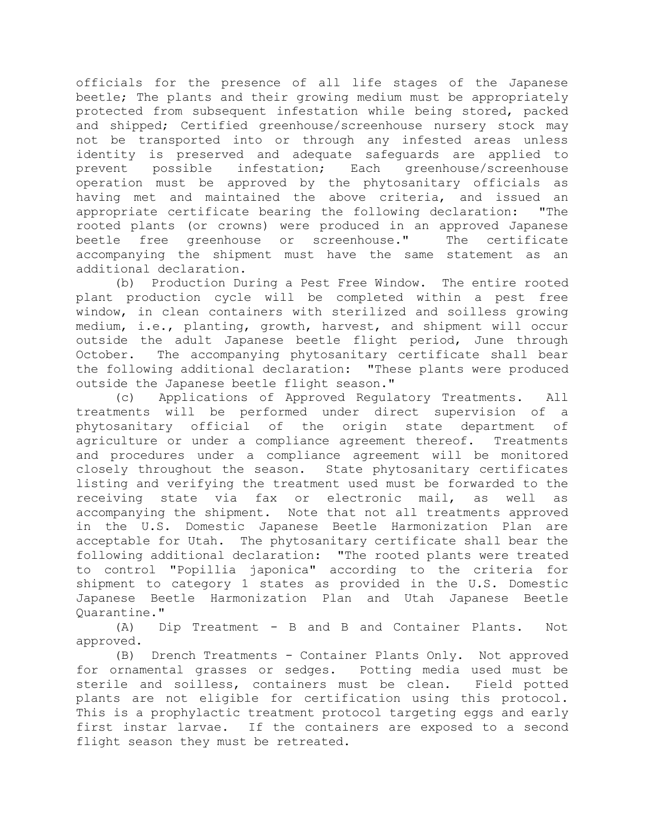officials for the presence of all life stages of the Japanese beetle; The plants and their growing medium must be appropriately protected from subsequent infestation while being stored, packed and shipped; Certified greenhouse/screenhouse nursery stock may not be transported into or through any infested areas unless identity is preserved and adequate safeguards are applied to prevent possible infestation; Each greenhouse/screenhouse operation must be approved by the phytosanitary officials as having met and maintained the above criteria, and issued an appropriate certificate bearing the following declaration: "The rooted plants (or crowns) were produced in an approved Japanese beetle free greenhouse or screenhouse." The certificate accompanying the shipment must have the same statement as an additional declaration.

(b) Production During a Pest Free Window. The entire rooted plant production cycle will be completed within a pest free window, in clean containers with sterilized and soilless growing medium, i.e., planting, growth, harvest, and shipment will occur outside the adult Japanese beetle flight period, June through October. The accompanying phytosanitary certificate shall bear the following additional declaration: "These plants were produced outside the Japanese beetle flight season."

(c) Applications of Approved Regulatory Treatments. All treatments will be performed under direct supervision of a phytosanitary official of the origin state department of agriculture or under a compliance agreement thereof. Treatments and procedures under a compliance agreement will be monitored closely throughout the season. State phytosanitary certificates listing and verifying the treatment used must be forwarded to the receiving state via fax or electronic mail, as well as accompanying the shipment. Note that not all treatments approved in the U.S. Domestic Japanese Beetle Harmonization Plan are acceptable for Utah. The phytosanitary certificate shall bear the following additional declaration: "The rooted plants were treated to control "Popillia japonica" according to the criteria for shipment to category 1 states as provided in the U.S. Domestic Japanese Beetle Harmonization Plan and Utah Japanese Beetle Quarantine."

(A) Dip Treatment - B and B and Container Plants. Not approved.

(B) Drench Treatments - Container Plants Only. Not approved for ornamental grasses or sedges. Potting media used must be sterile and soilless, containers must be clean. Field potted plants are not eligible for certification using this protocol. This is a prophylactic treatment protocol targeting eggs and early first instar larvae. If the containers are exposed to a second flight season they must be retreated.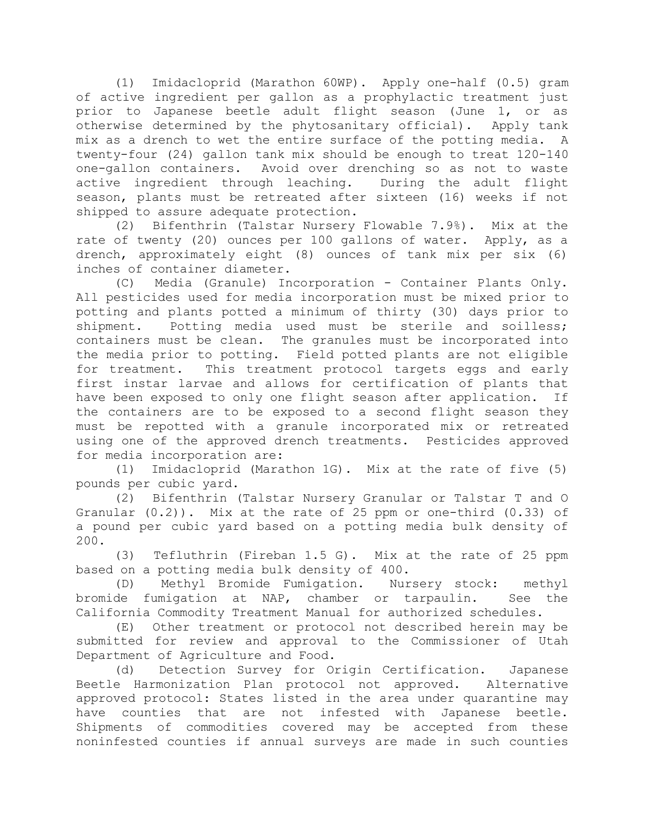(1) Imidacloprid (Marathon 60WP). Apply one-half (0.5) gram of active ingredient per gallon as a prophylactic treatment just prior to Japanese beetle adult flight season (June 1, or as otherwise determined by the phytosanitary official). Apply tank mix as a drench to wet the entire surface of the potting media. A twenty-four (24) gallon tank mix should be enough to treat 120-140 one-gallon containers. Avoid over drenching so as not to waste active ingredient through leaching. During the adult flight season, plants must be retreated after sixteen (16) weeks if not shipped to assure adequate protection.

(2) Bifenthrin (Talstar Nursery Flowable 7.9%). Mix at the rate of twenty (20) ounces per 100 gallons of water. Apply, as a drench, approximately eight (8) ounces of tank mix per six (6) inches of container diameter.

(C) Media (Granule) Incorporation - Container Plants Only. All pesticides used for media incorporation must be mixed prior to potting and plants potted a minimum of thirty (30) days prior to shipment. Potting media used must be sterile and soilless; containers must be clean. The granules must be incorporated into the media prior to potting. Field potted plants are not eligible for treatment. This treatment protocol targets eggs and early first instar larvae and allows for certification of plants that have been exposed to only one flight season after application. If the containers are to be exposed to a second flight season they must be repotted with a granule incorporated mix or retreated using one of the approved drench treatments. Pesticides approved for media incorporation are:

(1) Imidacloprid (Marathon 1G). Mix at the rate of five (5) pounds per cubic yard.

(2) Bifenthrin (Talstar Nursery Granular or Talstar T and O Granular (0.2)). Mix at the rate of 25 ppm or one-third (0.33) of a pound per cubic yard based on a potting media bulk density of 200.

(3) Tefluthrin (Fireban 1.5 G). Mix at the rate of 25 ppm based on a potting media bulk density of 400.

(D) Methyl Bromide Fumigation. Nursery stock: methyl bromide fumigation at NAP, chamber or tarpaulin. See the California Commodity Treatment Manual for authorized schedules.

(E) Other treatment or protocol not described herein may be submitted for review and approval to the Commissioner of Utah Department of Agriculture and Food.

(d) Detection Survey for Origin Certification. Japanese Beetle Harmonization Plan protocol not approved. Alternative approved protocol: States listed in the area under quarantine may have counties that are not infested with Japanese beetle. Shipments of commodities covered may be accepted from these noninfested counties if annual surveys are made in such counties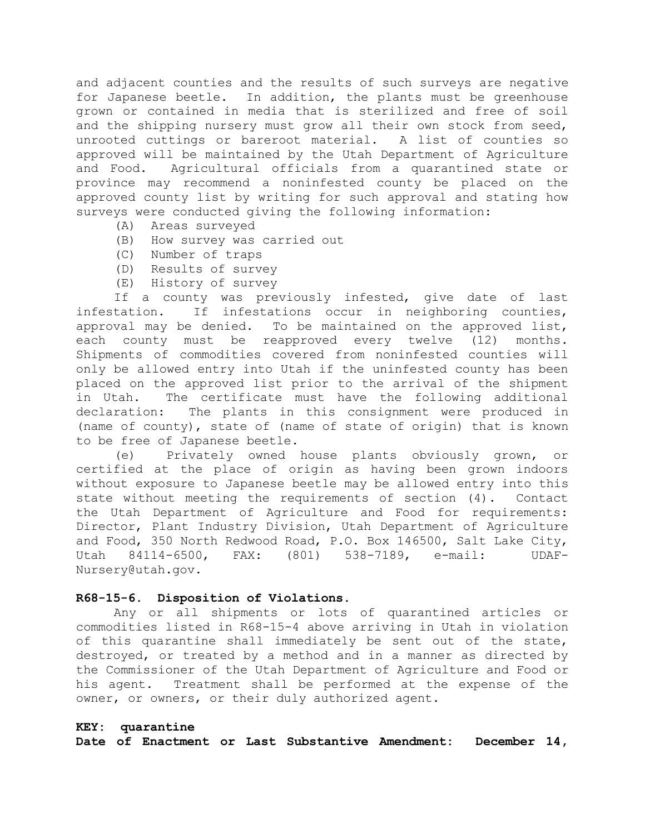and adjacent counties and the results of such surveys are negative for Japanese beetle. In addition, the plants must be greenhouse grown or contained in media that is sterilized and free of soil and the shipping nursery must grow all their own stock from seed, unrooted cuttings or bareroot material. A list of counties so approved will be maintained by the Utah Department of Agriculture and Food. Agricultural officials from a quarantined state or province may recommend a noninfested county be placed on the approved county list by writing for such approval and stating how surveys were conducted giving the following information:

- (A) Areas surveyed
- (B) How survey was carried out
- (C) Number of traps
- (D) Results of survey
- (E) History of survey

If a county was previously infested, give date of last infestation. If infestations occur in neighboring counties, approval may be denied. To be maintained on the approved list, each county must be reapproved every twelve (12) months. Shipments of commodities covered from noninfested counties will only be allowed entry into Utah if the uninfested county has been placed on the approved list prior to the arrival of the shipment in Utah. The certificate must have the following additional declaration: The plants in this consignment were produced in (name of county), state of (name of state of origin) that is known to be free of Japanese beetle.

(e) Privately owned house plants obviously grown, or certified at the place of origin as having been grown indoors without exposure to Japanese beetle may be allowed entry into this state without meeting the requirements of section (4). Contact the Utah Department of Agriculture and Food for requirements: Director, Plant Industry Division, Utah Department of Agriculture and Food, 350 North Redwood Road, P.O. Box 146500, Salt Lake City, Utah 84114-6500, FAX: (801) 538-7189, e-mail: UDAF-Nursery@utah.gov.

#### **R68-15-6. Disposition of Violations.**

Any or all shipments or lots of quarantined articles or commodities listed in R68-15-4 above arriving in Utah in violation of this quarantine shall immediately be sent out of the state, destroyed, or treated by a method and in a manner as directed by the Commissioner of the Utah Department of Agriculture and Food or his agent. Treatment shall be performed at the expense of the owner, or owners, or their duly authorized agent.

#### **KEY: quarantine**

**Date of Enactment or Last Substantive Amendment: December 14,**